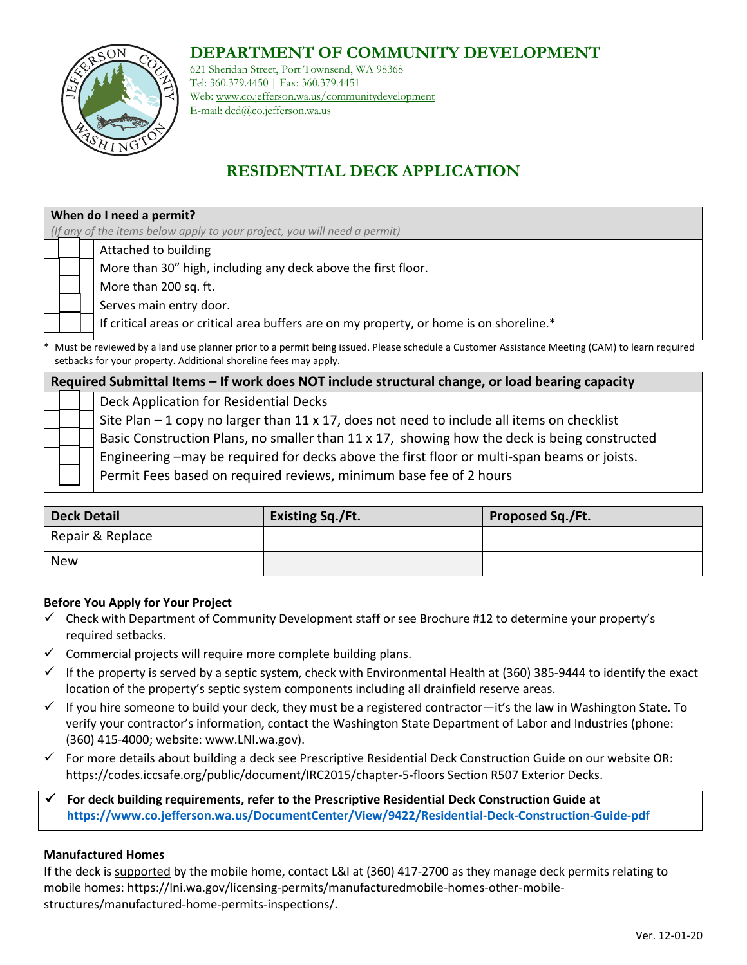### **DEPARTMENT OF COMMUNITY DEVELOPMENT**



621 Sheridan Street, Port Townsend, WA 98368 Tel: 360.379.4450 | Fax: 360.379.4451 Web: www.co.jefferson.wa.us/communitydevelopment E-mail: dcd@co.jefferson.wa.us

# **RESIDENTIAL DECK APPLICATION**

## **When do I need a permit?** *(If any of the items below apply to your project, you will need a permit)* Attached to building More than 30" high, including any deck above the first floor. More than 200 sq. ft. Serves main entry door. If critical areas or critical area buffers are on my property, or home is on shoreline.\*

Must be reviewed by a land use planner prior to a permit being issued. Please schedule a Customer Assistance Meeting (CAM) to learn required setbacks for your property. Additional shoreline fees may apply.

**Required Submittal Items – If work does NOT include structural change, or load bearing capacity** Deck Application for Residential Decks Site Plan  $-1$  copy no larger than 11 x 17, does not need to include all items on checklist Basic Construction Plans, no smaller than 11 x 17, showing how the deck is being constructed Engineering –may be required for decks above the first floor or multi-span beams or joists. Permit Fees based on required reviews, minimum base fee of 2 hours

| <b>Deck Detail</b> | <b>Existing Sq./Ft.</b> | Proposed Sq./Ft. |
|--------------------|-------------------------|------------------|
| Repair & Replace   |                         |                  |
| <b>New</b>         |                         |                  |

#### **Before You Apply for Your Project**

- $\checkmark$  Check with Department of Community Development staff or see Brochure #12 to determine your property's required setbacks.
- $\checkmark$  Commercial projects will require more complete building plans.
- $\checkmark$  If the property is served by a septic system, check with Environmental Health at (360) 385-9444 to identify the exact location of the property's septic system components including all drainfield reserve areas.
- $\checkmark$  If you hire someone to build your deck, they must be a registered contractor—it's the law in Washington State. To verify your contractor's information, contact the Washington State Department of Labor and Industries (phone: (360) 415-4000; website: www.LNI.wa.gov).
- For more details about building a deck see Prescriptive Residential Deck Construction Guide on our website OR: https://codes.iccsafe.org/public/document/IRC2015/chapter-5-floors Section R507 Exterior Decks.

 **For deck building requirements, refer to the Prescriptive Residential Deck Construction Guide at <https://www.co.jefferson.wa.us/DocumentCenter/View/9422/Residential-Deck-Construction-Guide-pdf>**

#### **Manufactured Homes**

If the deck is supported by the mobile home, contact L&I at (360) 417-2700 as they manage deck permits relating to mobile homes: https://lni.wa.gov/licensing-permits/manufacturedmobile-homes-other-mobilestructures/manufactured-home-permits-inspections/.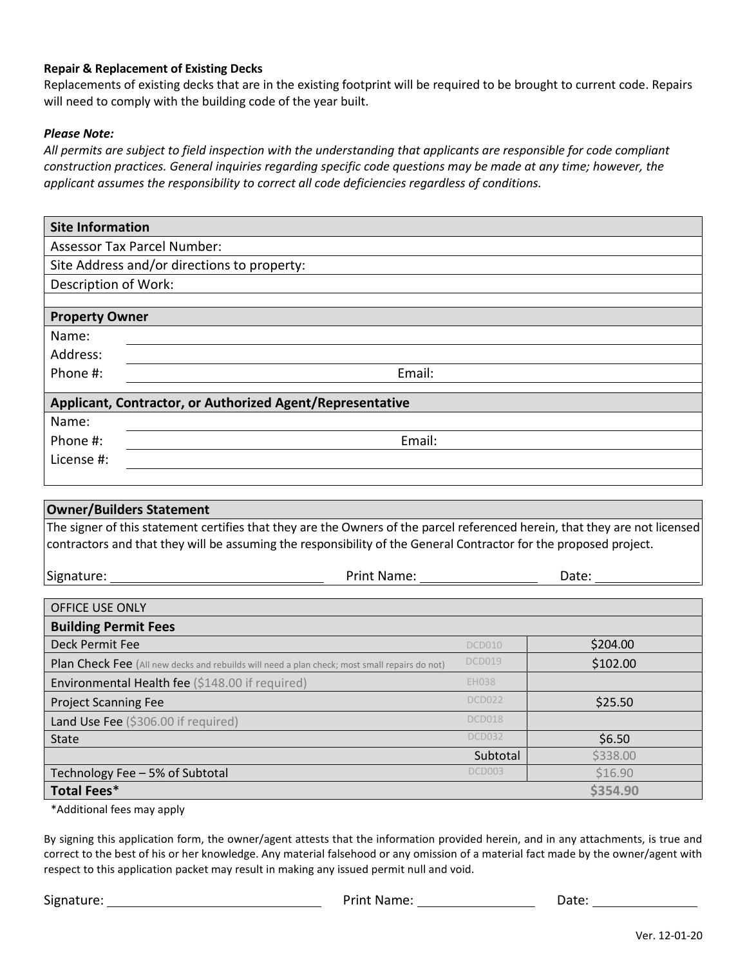#### **Repair & Replacement of Existing Decks**

Replacements of existing decks that are in the existing footprint will be required to be brought to current code. Repairs will need to comply with the building code of the year built.

#### *Please Note:*

*All permits are subject to field inspection with the understanding that applicants are responsible for code compliant construction practices. General inquiries regarding specific code questions may be made at any time; however, the applicant assumes the responsibility to correct all code deficiencies regardless of conditions.*

| <b>Site Information</b>                                   |  |  |  |
|-----------------------------------------------------------|--|--|--|
| <b>Assessor Tax Parcel Number:</b>                        |  |  |  |
| Site Address and/or directions to property:               |  |  |  |
| Description of Work:                                      |  |  |  |
|                                                           |  |  |  |
| <b>Property Owner</b>                                     |  |  |  |
| Name:                                                     |  |  |  |
| Address:                                                  |  |  |  |
| Email:<br>Phone #:                                        |  |  |  |
| Applicant, Contractor, or Authorized Agent/Representative |  |  |  |
| Name:                                                     |  |  |  |
| Email:<br>Phone #:                                        |  |  |  |
| License #:                                                |  |  |  |
|                                                           |  |  |  |

| <b>Owner/Builders Statement</b>                                                                                                                                                                                                                  |              |          |  |  |
|--------------------------------------------------------------------------------------------------------------------------------------------------------------------------------------------------------------------------------------------------|--------------|----------|--|--|
| The signer of this statement certifies that they are the Owners of the parcel referenced herein, that they are not licensed<br>contractors and that they will be assuming the responsibility of the General Contractor for the proposed project. |              |          |  |  |
| Signature:<br>Print Name:                                                                                                                                                                                                                        |              | Date:    |  |  |
|                                                                                                                                                                                                                                                  |              |          |  |  |
| <b>OFFICE USE ONLY</b>                                                                                                                                                                                                                           |              |          |  |  |
| <b>Building Permit Fees</b>                                                                                                                                                                                                                      |              |          |  |  |
| Deck Permit Fee                                                                                                                                                                                                                                  | DCD010       | \$204.00 |  |  |
| Plan Check Fee (All new decks and rebuilds will need a plan check; most small repairs do not)                                                                                                                                                    | DCD019       | \$102.00 |  |  |
| <b>Environmental Health fee</b> $(5148,00)$ if required)                                                                                                                                                                                         | <b>EH038</b> |          |  |  |

| $\blacksquare$                      |               |          |
|-------------------------------------|---------------|----------|
| <b>Project Scanning Fee</b>         | <b>DCD022</b> | \$25.50  |
| Land Use Fee (\$306.00 if required) | DCD018        |          |
| <b>State</b>                        | <b>DCD032</b> | \$6.50   |
|                                     | Subtotal      | \$338.00 |
| Technology Fee - 5% of Subtotal     | DCD003        | \$16.90  |
| Total Fees*                         |               | \$354.90 |

\*Additional fees may apply

By signing this application form, the owner/agent attests that the information provided herein, and in any attachments, is true and correct to the best of his or her knowledge. Any material falsehood or any omission of a material fact made by the owner/agent with respect to this application packet may result in making any issued permit null and void.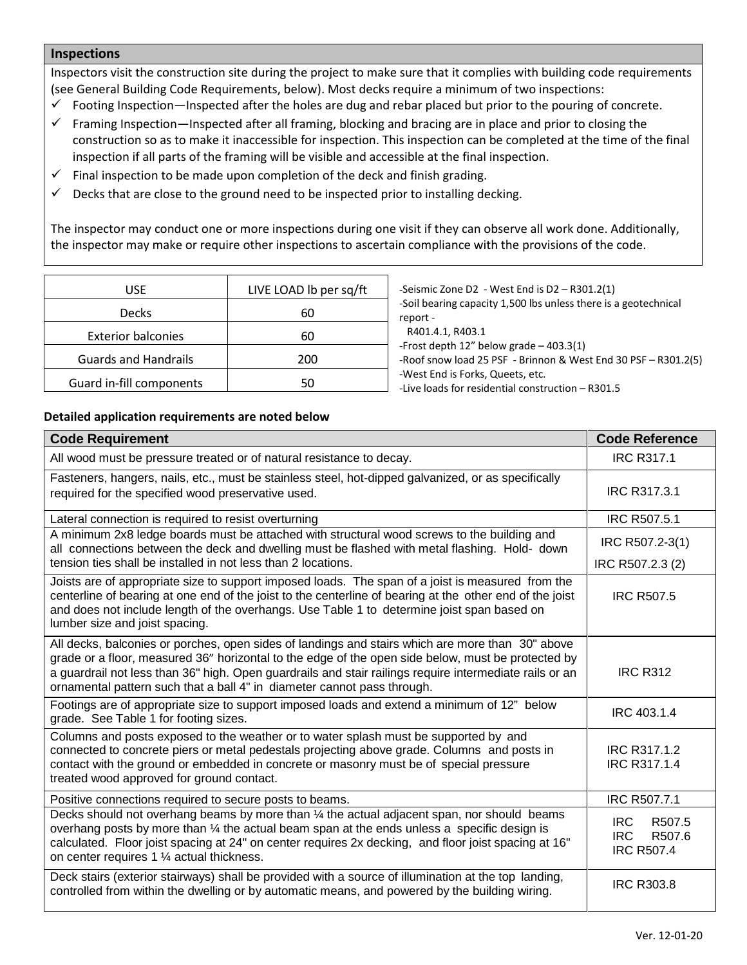#### **Inspections**

Inspectors visit the construction site during the project to make sure that it complies with building code requirements (see General Building Code Requirements, below). Most decks require a minimum of two inspections:

- $\checkmark$  Footing Inspection—Inspected after the holes are dug and rebar placed but prior to the pouring of concrete.
- $\checkmark$  Framing Inspection—Inspected after all framing, blocking and bracing are in place and prior to closing the construction so as to make it inaccessible for inspection. This inspection can be completed at the time of the final inspection if all parts of the framing will be visible and accessible at the final inspection.
- $\checkmark$  Final inspection to be made upon completion of the deck and finish grading.
- $\checkmark$  Decks that are close to the ground need to be inspected prior to installing decking.

The inspector may conduct one or more inspections during one visit if they can observe all work done. Additionally, the inspector may make or require other inspections to ascertain compliance with the provisions of the code.

| USE                         | LIVE LOAD Ib per sq/ft |  |
|-----------------------------|------------------------|--|
| <b>Decks</b>                | 60                     |  |
| <b>Exterior balconies</b>   | 60                     |  |
| <b>Guards and Handrails</b> | 200                    |  |
| Guard in-fill components    | 50                     |  |

-Seismic Zone D2 - West End is D2 – R301.2(1) -Soil bearing capacity 1,500 lbs unless there is a geotechnical report - R401.4.1, R403.1 -Frost depth 12" below grade – 403.3(1) -Roof snow load 25 PSF - Brinnon & West End 30 PSF – R301.2(5) -West End is Forks, Queets, etc.

-Live loads for residential construction – R301.5

#### **Detailed application requirements are noted below**

| <b>Code Requirement</b>                                                                                                                                                                                                                                                                                                                                                                      | <b>Code Reference</b>                                      |
|----------------------------------------------------------------------------------------------------------------------------------------------------------------------------------------------------------------------------------------------------------------------------------------------------------------------------------------------------------------------------------------------|------------------------------------------------------------|
| All wood must be pressure treated or of natural resistance to decay.                                                                                                                                                                                                                                                                                                                         | <b>IRC R317.1</b>                                          |
| Fasteners, hangers, nails, etc., must be stainless steel, hot-dipped galvanized, or as specifically<br>required for the specified wood preservative used.                                                                                                                                                                                                                                    | <b>IRC R317.3.1</b>                                        |
| Lateral connection is required to resist overturning                                                                                                                                                                                                                                                                                                                                         | <b>IRC R507.5.1</b>                                        |
| A minimum 2x8 ledge boards must be attached with structural wood screws to the building and<br>all connections between the deck and dwelling must be flashed with metal flashing. Hold- down                                                                                                                                                                                                 | IRC R507.2-3(1)                                            |
| tension ties shall be installed in not less than 2 locations.                                                                                                                                                                                                                                                                                                                                | IRC R507.2.3 (2)                                           |
| Joists are of appropriate size to support imposed loads. The span of a joist is measured from the<br>centerline of bearing at one end of the joist to the centerline of bearing at the other end of the joist<br>and does not include length of the overhangs. Use Table 1 to determine joist span based on<br>lumber size and joist spacing.                                                | <b>IRC R507.5</b>                                          |
| All decks, balconies or porches, open sides of landings and stairs which are more than 30" above<br>grade or a floor, measured 36" horizontal to the edge of the open side below, must be protected by<br>a guardrail not less than 36" high. Open guardrails and stair railings require intermediate rails or an<br>ornamental pattern such that a ball 4" in diameter cannot pass through. | <b>IRC R312</b>                                            |
| Footings are of appropriate size to support imposed loads and extend a minimum of 12" below<br>grade. See Table 1 for footing sizes.                                                                                                                                                                                                                                                         | IRC 403.1.4                                                |
| Columns and posts exposed to the weather or to water splash must be supported by and<br>connected to concrete piers or metal pedestals projecting above grade. Columns and posts in<br>contact with the ground or embedded in concrete or masonry must be of special pressure<br>treated wood approved for ground contact.                                                                   | <b>IRC R317.1.2</b><br><b>IRC R317.1.4</b>                 |
| Positive connections required to secure posts to beams.                                                                                                                                                                                                                                                                                                                                      | IRC R507.7.1                                               |
| Decks should not overhang beams by more than 1/4 the actual adjacent span, nor should beams<br>overhang posts by more than 1/4 the actual beam span at the ends unless a specific design is<br>calculated. Floor joist spacing at 24" on center requires 2x decking, and floor joist spacing at 16"<br>on center requires 1 1/4 actual thickness.                                            | IRC<br>R507.5<br><b>IRC</b><br>R507.6<br><b>IRC R507.4</b> |
| Deck stairs (exterior stairways) shall be provided with a source of illumination at the top landing,<br>controlled from within the dwelling or by automatic means, and powered by the building wiring.                                                                                                                                                                                       | <b>IRC R303.8</b>                                          |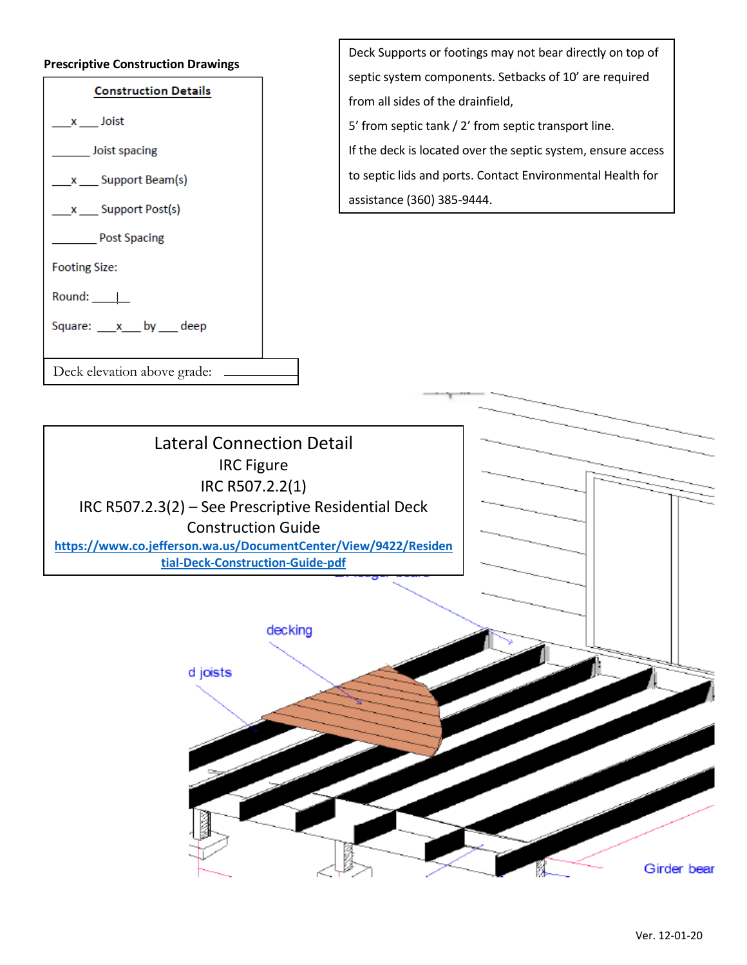